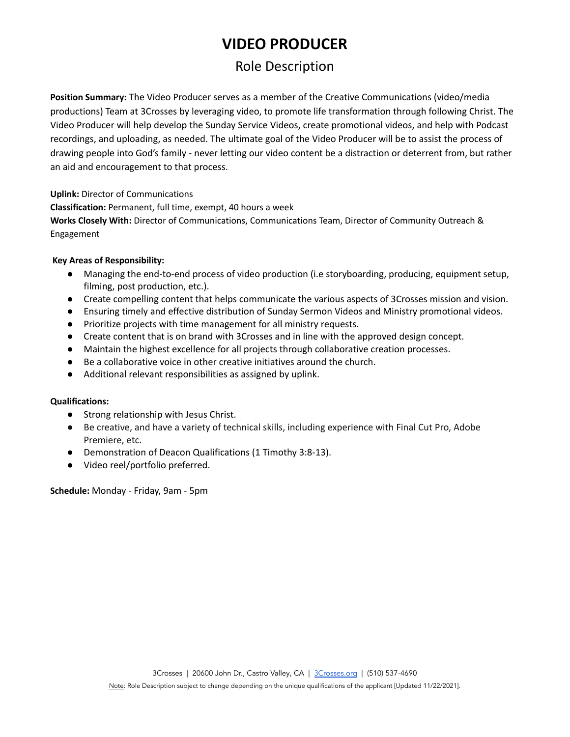# **VIDEO PRODUCER**

# Role Description

**Position Summary:** The Video Producer serves as a member of the Creative Communications (video/media productions) Team at 3Crosses by leveraging video, to promote life transformation through following Christ. The Video Producer will help develop the Sunday Service Videos, create promotional videos, and help with Podcast recordings, and uploading, as needed. The ultimate goal of the Video Producer will be to assist the process of drawing people into God's family - never letting our video content be a distraction or deterrent from, but rather an aid and encouragement to that process.

**Uplink:** Director of Communications

**Classification:** Permanent, full time, exempt, 40 hours a week

**Works Closely With:** Director of Communications, Communications Team, Director of Community Outreach & Engagement

#### **Key Areas of Responsibility:**

- Managing the end-to-end process of video production (i.e storyboarding, producing, equipment setup, filming, post production, etc.).
- Create compelling content that helps communicate the various aspects of 3Crosses mission and vision.
- Ensuring timely and effective distribution of Sunday Sermon Videos and Ministry promotional videos.
- Prioritize projects with time management for all ministry requests.
- Create content that is on brand with 3Crosses and in line with the approved design concept.
- Maintain the highest excellence for all projects through collaborative creation processes.
- Be a collaborative voice in other creative initiatives around the church.
- Additional relevant responsibilities as assigned by uplink.

#### **Qualifications:**

- Strong relationship with Jesus Christ.
- Be creative, and have a variety of technical skills, including experience with Final Cut Pro, Adobe Premiere, etc.
- Demonstration of Deacon Qualifications (1 Timothy 3:8-13).
- Video reel/portfolio preferred.

**Schedule:** Monday - Friday, 9am - 5pm